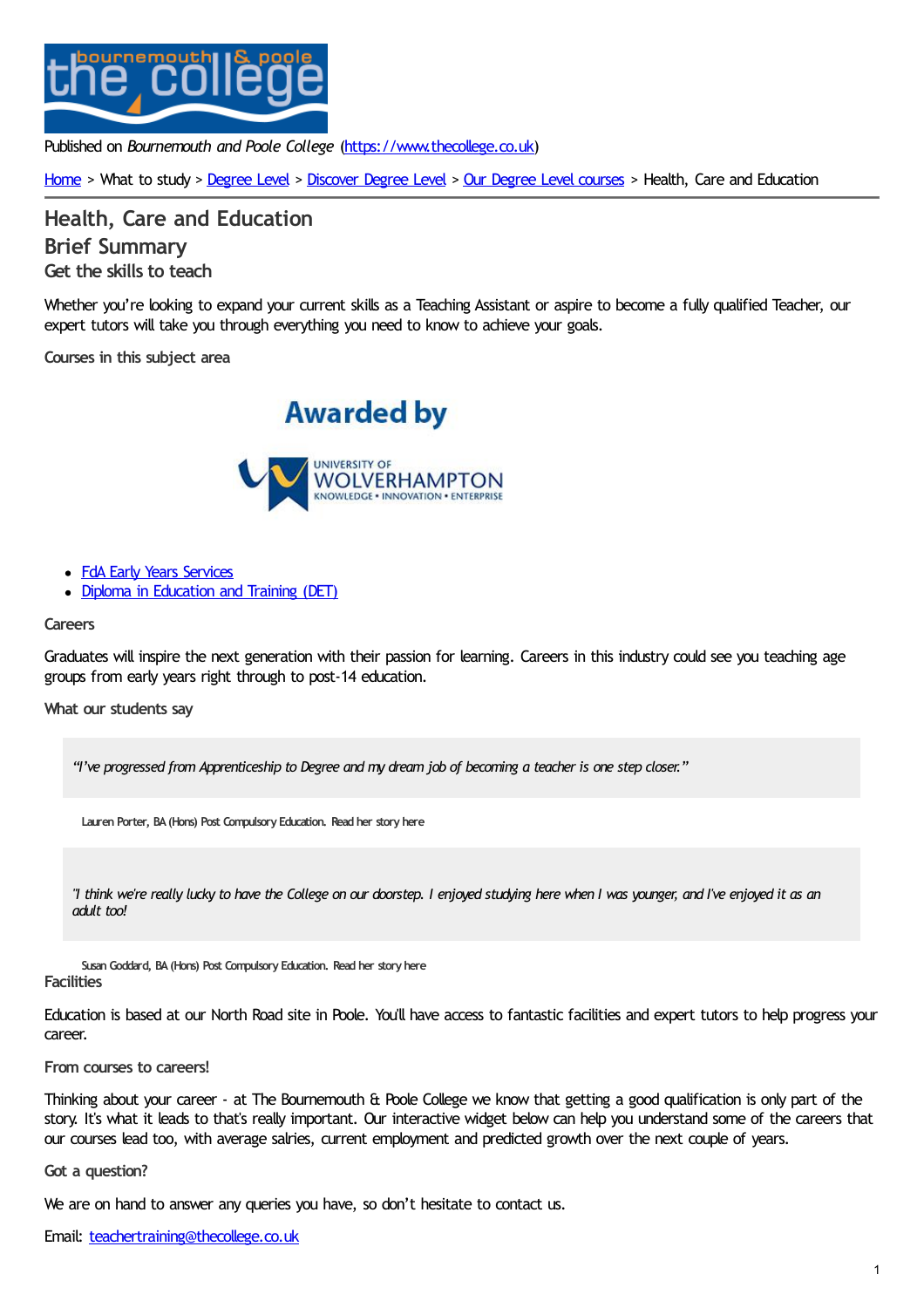

Published on *Bournemouth and Poole College* [\(https://www.thecollege.co.uk](https://www.thecollege.co.uk))

[Home](https://www.thecollege.co.uk/) > What to study > [Degree](https://www.thecollege.co.uk/degree-level) Level > [Discover](https://www.thecollege.co.uk/degree-level) Degree Level > Our [Degree](https://www.thecollege.co.uk/degree-level/our-degree-level-courses) Level courses > Health, Care and Education

**Health, Care and [Education](https://www.thecollege.co.uk/degree-level/our-degree-level-courses/health-care-and-education) Brief Summary Get the skills to teach**

Whether you're looking to expand your current skills as a Teaching Assistant or aspire to become a fully qualified Teacher, our expert tutors will take you through everything you need to know to achieve your goals.

**Courses in this subject area**





- FdA Early Years [Services](https://www.thecollege.co.uk/courses/fda-early-years-services-university-wolverhampton-sector-endorsed)
- Diploma in [Education](https://www.thecollege.co.uk/courses/diploma-education-and-training-det-year-1-fast-track) and Training (DET)

## **Careers**

Graduates will inspire the next generation with their passion for learning. Careers in this industry could see you teaching age groups from early years right through to post-14 education.

**What our students say**

"I've progressed from Apprenticeship to Degree and my dream job of becoming a teacher is one step closer."

**Lauren Porter, BA(Hons) Post Compulsory Education. Read her [story](https://www.thecollege.co.uk/degree-level/our-degree-level-courses/education-training/lauren-ba-hons-post-compulsory-education) here**

"I think we're really lucky to have the College on our doorstep. I enjoyed studying here when I was younger, and I've enjoyed it as an *adult too!*

**Susan Goddard, BA(Hons) Post Compulsory Education. Read her [story](https://www.thecollege.co.uk/degree-level/our-degree-level-courses/health-care-and-education/susan-goddard-ba-hons-post) here Facilities**

Education is based at our North Road site in Poole. You'll have access to fantastic facilities and expert tutors to help progress your career.

**From courses to careers!**

Thinking about your career - at The Bournemouth & Poole College we know that getting a good qualification is only part of the story. It's what it leads to that's really important. Our interactive widget below can help you understand some of the careers that our courses lead too, with average salries, current employment and predicted growth over the next couple of years.

**Got a question?**

We are on hand to answer any queries you have, so don't hesitate to contact us.

Email: [teachertraining@thecollege.co.uk](mailto:teachertraining@thecollege.co.uk?subject=Message%20enquiry%20from%20the%20website)